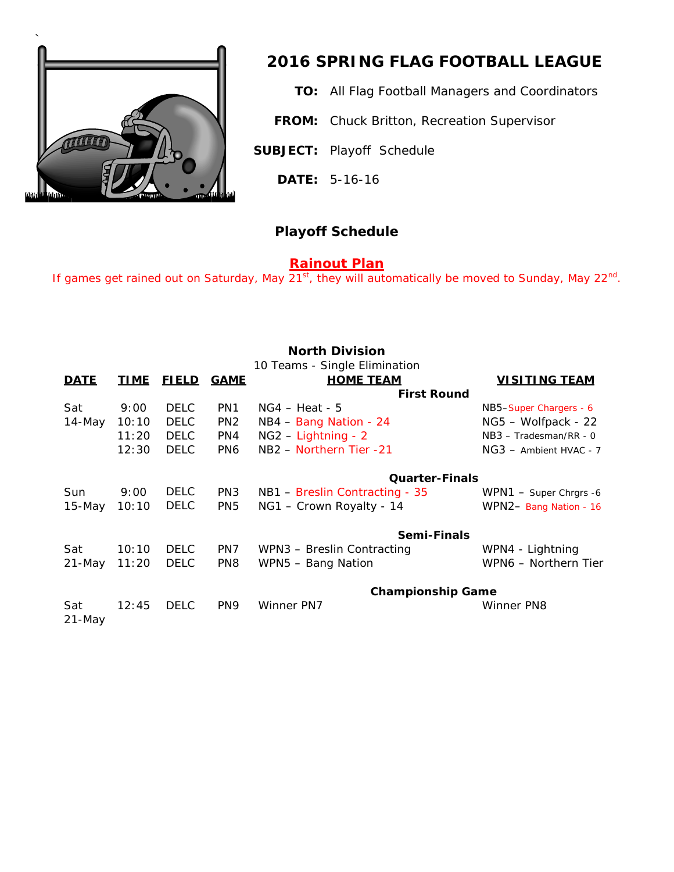

## *2016 SPRING FLAG FOOTBALL LEAGUE*

**TO:** All Flag Football Managers and Coordinators

**FROM:** Chuck Britton, Recreation Supervisor

**SUBJECT:** Playoff Schedule

**DATE:** 5-16-16

## **Playoff Schedule**

## **Rainout Plan**

If games get rained out on Saturday, May  $21^{st}$ , they will automatically be moved to Sunday, May  $22^{nd}$ .

| <b>North Division</b><br>10 Teams - Single Elimination |             |              |                 |                                      |                          |  |  |
|--------------------------------------------------------|-------------|--------------|-----------------|--------------------------------------|--------------------------|--|--|
| <b>DATE</b>                                            | <b>TIME</b> | <b>FIELD</b> | <b>GAME</b>     | <b>HOME TEAM</b>                     | <b>VISITING TEAM</b>     |  |  |
|                                                        |             |              |                 | <b>First Round</b>                   |                          |  |  |
| Sat                                                    | 9:00        | <b>DELC</b>  | PN <sub>1</sub> | $NG4 - Heat - 5$                     | NB5-Super Chargers - 6   |  |  |
| 14-May                                                 | 10:10       | <b>DELC</b>  | PN <sub>2</sub> | NB4 - Bang Nation - 24               | NG5 - Wolfpack - 22      |  |  |
|                                                        | 11:20       | <b>DELC</b>  | PN4             | $NG2 - Lighthing - 2$                | $NB3 - Tradesman/RR - 0$ |  |  |
|                                                        | 12:30       | <b>DELC</b>  | PN <sub>6</sub> | NB <sub>2</sub> - Northern Tier - 21 | NG3 - Ambient HVAC - 7   |  |  |
|                                                        |             |              |                 | <b>Quarter-Finals</b>                |                          |  |  |
| Sun                                                    | 9:00        | <b>DELC</b>  | PN <sub>3</sub> | NB1 – Breslin Contracting - 35       | WPN1 - Super Chrgrs -6   |  |  |
| 15-May                                                 | 10:10       | <b>DELC</b>  | PN <sub>5</sub> | NG1 - Crown Royalty - 14             | WPN2- Bang Nation - 16   |  |  |
|                                                        |             |              |                 | Semi-Finals                          |                          |  |  |
| Sat                                                    | 10:10       | <b>DELC</b>  | PN7             | WPN3 - Breslin Contracting           | WPN4 - Lightning         |  |  |
| $21 - May$                                             | 11:20       | <b>DELC</b>  | PN <sub>8</sub> | WPN5 - Bang Nation                   | WPN6 - Northern Tier     |  |  |
|                                                        |             |              |                 | <b>Championship Game</b>             |                          |  |  |
| Sat<br>$21 - May$                                      | 12:45       | <b>DELC</b>  | PN <sub>9</sub> | Winner PN7                           | Winner PN8               |  |  |